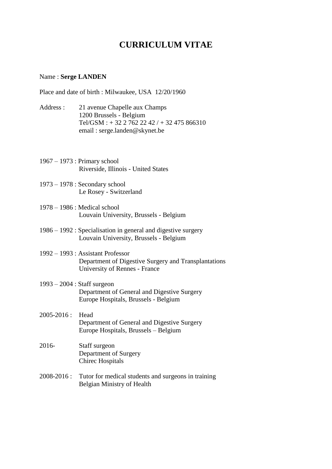## **CURRICULUM VITAE**

## Name : **Serge LANDEN**

Place and date of birth : Milwaukee, USA 12/20/1960

- Address : 21 avenue Chapelle aux Champs 1200 Brussels - Belgium Tel/GSM :  $+ 32 2 762 22 42 / + 32 475 866310$ email : serge.landen@skynet.be
- 1967 1973 : Primary school Riverside, Illinois - United States
- 1973 1978 : Secondary school Le Rosey - Switzerland
- 1978 1986 : Medical school Louvain University, Brussels - Belgium
- 1986 1992 : Specialisation in general and digestive surgery Louvain University, Brussels - Belgium
- 1992 1993 : Assistant Professor Department of Digestive Surgery and Transplantations University of Rennes - France
- 1993 2004 : Staff surgeon Department of General and Digestive Surgery Europe Hospitals, Brussels - Belgium
- $2005 2016$  · Head Department of General and Digestive Surgery Europe Hospitals, Brussels – Belgium
- 2016- Staff surgeon Department of Surgery Chirec Hospitals
- 2008-2016 : Tutor for medical students and surgeons in training Belgian Ministry of Health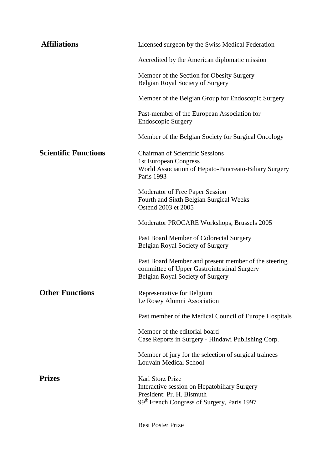| <b>Affiliations</b>         | Licensed surgeon by the Swiss Medical Federation                                                                                        |
|-----------------------------|-----------------------------------------------------------------------------------------------------------------------------------------|
|                             | Accredited by the American diplomatic mission                                                                                           |
|                             | Member of the Section for Obesity Surgery<br>Belgian Royal Society of Surgery                                                           |
|                             | Member of the Belgian Group for Endoscopic Surgery                                                                                      |
|                             | Past-member of the European Association for<br><b>Endoscopic Surgery</b>                                                                |
|                             | Member of the Belgian Society for Surgical Oncology                                                                                     |
| <b>Scientific Functions</b> | <b>Chairman of Scientific Sessions</b><br>1st European Congress<br>World Association of Hepato-Pancreato-Biliary Surgery<br>Paris 1993  |
|                             | Moderator of Free Paper Session<br>Fourth and Sixth Belgian Surgical Weeks<br>Ostend 2003 et 2005                                       |
|                             | Moderator PROCARE Workshops, Brussels 2005                                                                                              |
|                             | Past Board Member of Colorectal Surgery<br>Belgian Royal Society of Surgery                                                             |
|                             | Past Board Member and present member of the steering<br>committee of Upper Gastrointestinal Surgery<br>Belgian Royal Society of Surgery |
| <b>Other Functions</b>      | Representative for Belgium<br>Le Rosey Alumni Association                                                                               |
|                             | Past member of the Medical Council of Europe Hospitals                                                                                  |
|                             | Member of the editorial board<br>Case Reports in Surgery - Hindawi Publishing Corp.                                                     |
|                             | Member of jury for the selection of surgical trainees<br>Louvain Medical School                                                         |
| <b>Prizes</b>               | Karl Storz Prize<br>Interactive session on Hepatobiliary Surgery<br>President: Pr. H. Bismuth                                           |
|                             | 99 <sup>th</sup> French Congress of Surgery, Paris 1997                                                                                 |
|                             | <b>Best Poster Prize</b>                                                                                                                |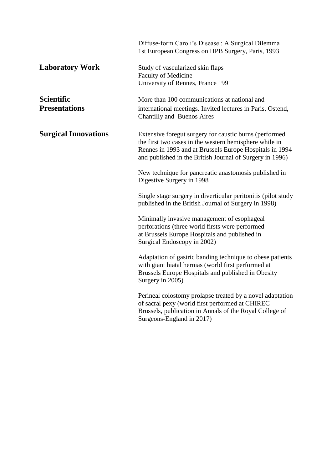|                                           | Diffuse-form Caroli's Disease : A Surgical Dilemma<br>1st European Congress on HPB Surgery, Paris, 1993                                                                                                                                 |
|-------------------------------------------|-----------------------------------------------------------------------------------------------------------------------------------------------------------------------------------------------------------------------------------------|
| <b>Laboratory Work</b>                    | Study of vascularized skin flaps<br><b>Faculty of Medicine</b><br>University of Rennes, France 1991                                                                                                                                     |
| <b>Scientific</b><br><b>Presentations</b> | More than 100 communications at national and<br>international meetings. Invited lectures in Paris, Ostend,<br>Chantilly and Buenos Aires                                                                                                |
| <b>Surgical Innovations</b>               | Extensive foregut surgery for caustic burns (performed<br>the first two cases in the western hemisphere while in<br>Rennes in 1993 and at Brussels Europe Hospitals in 1994<br>and published in the British Journal of Surgery in 1996) |
|                                           | New technique for pancreatic anastomosis published in<br>Digestive Surgery in 1998                                                                                                                                                      |
|                                           | Single stage surgery in diverticular peritonitis (pilot study<br>published in the British Journal of Surgery in 1998)                                                                                                                   |
|                                           | Minimally invasive management of esophageal<br>perforations (three world firsts were performed<br>at Brussels Europe Hospitals and published in<br>Surgical Endoscopy in 2002)                                                          |
|                                           | Adaptation of gastric banding technique to obese patients<br>with giant hiatal hernias (world first performed at<br>Brussels Europe Hospitals and published in Obesity<br>Surgery in 2005)                                              |
|                                           | Perineal colostomy prolapse treated by a novel adaptation<br>of sacral pexy (world first performed at CHIREC<br>Brussels, publication in Annals of the Royal College of<br>Surgeons-England in 2017)                                    |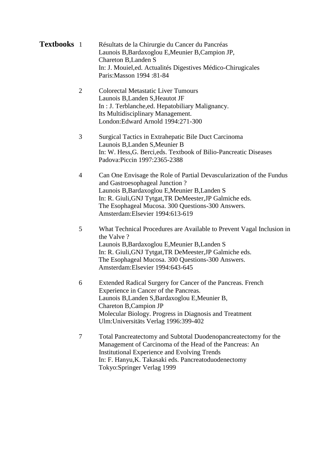**Textbooks** 1 Résultats de la Chirurgie du Cancer du Pancréas Launois B,Bardaxoglou E,Meunier B,Campion JP, Chareton B,Landen S In: J. Mouiel,ed. Actualités Digestives Médico-Chirugicales Paris:Masson 1994 :81-84

- 2 Colorectal Metastatic Liver Tumours Launois B,Landen S,Heautot JF In : J. Terblanche,ed. Hepatobiliary Malignancy. Its Multidisciplinary Management. London:Edward Arnold 1994:271-300
- 3 Surgical Tactics in Extrahepatic Bile Duct Carcinoma Launois B,Landen S,Meunier B In: W. Hess,G. Berci,eds. Textbook of Bilio-Pancreatic Diseases Padova:Piccin 1997:2365-2388
- 4 Can One Envisage the Role of Partial Devascularization of the Fundus and Gastroesophageal Junction ? Launois B,Bardaxoglou E,Meunier B,Landen S In: R. Giuli,GNJ Tytgat,TR DeMeester,JP Galmiche eds. The Esophageal Mucosa. 300 Questions-300 Answers. Amsterdam:Elsevier 1994:613-619
- 5 What Technical Procedures are Available to Prevent Vagal Inclusion in the Valve ? Launois B,Bardaxoglou E,Meunier B,Landen S In: R. Giuli,GNJ Tytgat,TR DeMeester,JP Galmiche eds. The Esophageal Mucosa. 300 Questions-300 Answers. Amsterdam:Elsevier 1994:643-645
- 6 Extended Radical Surgery for Cancer of the Pancreas. French Experience in Cancer of the Pancreas. Launois B,Landen S,Bardaxoglou E,Meunier B, Chareton B,Campion JP Molecular Biology. Progress in Diagnosis and Treatment Ulm:Universitäts Verlag 1996:399-402
- 7 Total Pancreatectomy and Subtotal Duodenopancreatectomy for the Management of Carcinoma of the Head of the Pancreas: An Institutional Experience and Evolving Trends In: F. Hanyu,K. Takasaki eds. Pancreatoduodenectomy Tokyo:Springer Verlag 1999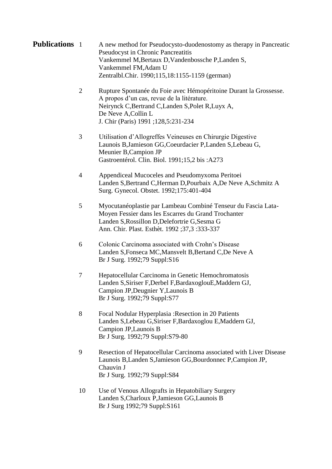**Publications** 1 A new method for Pseudocysto-duodenostomy as therapy in Pancreatic Pseudocyst in Chronic Pancreatitis Vankemmel M,Bertaux D,Vandenbossche P,Landen S, Vankemmel FM,Adam U Zentralbl.Chir. 1990;115,18:1155-1159 (german)

> 2 Rupture Spontanée du Foie avec Hémopéritoine Durant la Grossesse. A propos d'un cas, revue de la litérature. Neirynck C,Bertrand C,Landen S,Polet R,Luyx A, De Neve A,Collin L J. Chir (Paris) 1991 ;128,5:231-234

- 3 Utilisation d'Allogreffes Veineuses en Chirurgie Digestive Launois B,Jamieson GG,Coeurdacier P,Landen S,Lebeau G, Meunier B,Campion JP Gastroentérol. Clin. Biol. 1991;15,2 bis :A273
- 4 Appendiceal Mucoceles and Pseudomyxoma Peritoei Landen S,Bertrand C,Herman D,Pourbaix A,De Neve A,Schmitz A Surg. Gynecol. Obstet. 1992;175:401-404
- 5 Myocutanéoplastie par Lambeau Combiné Tenseur du Fascia Lata-Moyen Fessier dans les Escarres du Grand Trochanter Landen S,Rossillon D,Delefortrie G,Sesma G Ann. Chir. Plast. Esthèt. 1992 ;37,3 :333-337
- 6 Colonic Carcinoma associated with Crohn's Disease Landen S,Fonseca MC,Mansvelt B,Bertand C,De Neve A Br J Surg. 1992;79 Suppl:S16
- 7 Hepatocellular Carcinoma in Genetic Hemochromatosis Landen S,Siriser F,Derbel F,BardaxoglouE,Maddern GJ, Campion JP,Deugnier Y,Launois B Br J Surg. 1992;79 Suppl:S77
- 8 Focal Nodular Hyperplasia :Resection in 20 Patients Landen S,Lebeau G,Siriser F,Bardaxoglou E,Maddern GJ, Campion JP,Launois B Br J Surg. 1992;79 Suppl:S79-80
- 9 Resection of Hepatocellular Carcinoma associated with Liver Disease Launois B,Landen S,Jamieson GG,Bourdonnec P,Campion JP, Chauvin J Br J Surg. 1992;79 Suppl:S84
- 10 Use of Venous Allografts in Hepatobiliary Surgery Landen S,Charloux P,Jamieson GG,Launois B Br J Surg 1992;79 Suppl:S161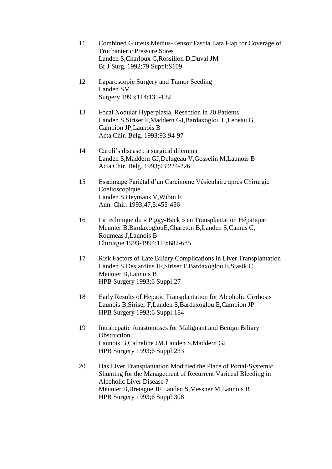- 11 Combined Gluteus Medius-Tensor Fascia Lata Flap for Coverage of Trochanteric Pressure Sores Landen S,Charloux C,Rossillon D,Duval JM Br J Surg. 1992;79 Suppl:S109
- 12 Laparoscopic Surgery and Tumor Seeding Landen SM Surgery 1993;114:131-132
- 13 Focal Nodular Hyperplasia. Resection in 20 Patients Landen S,Siriser F,Maddern GJ,Bardaxoglou E,Lebeau G Campion JP,Launois B Acta Chir. Belg. 1993;93:94-97
- 14 Caroli's disease : a surgical dilemma Landen S,Maddern GJ,Delugeau V,Gosselin M,Launois B Acta Chir. Belg. 1993;93:224-226
- 15 Essaimage Pariétal d'un Carcinome Vésiculaire après Chirurgie Coelioscopique Landen S,Heymans V,Wibin E Ann. Chir. 1993;47,5:455-456
- 16 La technique du « Piggy-Back » en Transplantation Hépatique Meunier B,BardaxoglouE,Chareton B,Landen S,Camus C, Roumeas J,Launois B Chirurgie 1993-1994;119:682-685
- 17 Risk Factors of Late Biliary Complications in Liver Transplantation Landen S,Desjardins JF,Siriser F,Bardaxoglou E,Stasik C, Meunier B,Launois B HPB Surgery 1993;6 Suppl:27
- 18 Early Results of Hepatic Transplantation for Alcoholic Cirrhosis Launois B,Siriser F,Landen S,Bardaxoglou E,Campion JP HPB Surgery 1993;6 Suppl:184
- 19 Intrahepatic Anastomoses for Malignant and Benign Biliary **Obstruction** Launois B,Catheline JM,Landen S,Maddern GJ HPB Surgery 1993;6 Suppl:233
- 20 Has Liver Transplantation Modified the Place of Portal-Systemic Shunting for the Management of Recurrent Variceal Bleeding in Alcoholic Liver Disease ? Meunier B,Bretagne JF,Landen S,Messner M,Launois B HPB Surgery 1993;6 Suppl:308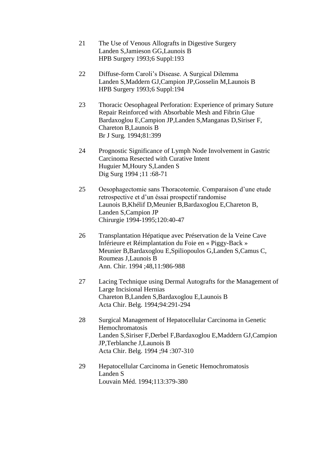- 21 The Use of Venous Allografts in Digestive Surgery Landen S,Jamieson GG,Launois B HPB Surgery 1993;6 Suppl:193
- 22 Diffuse-form Caroli's Disease. A Surgical Dilemma Landen S,Maddern GJ,Campion JP,Gosselin M,Launois B HPB Surgery 1993;6 Suppl:194
- 23 Thoracic Oesophageal Perforation: Experience of primary Suture Repair Reinforced with Absorbable Mesh and Fibrin Glue Bardaxoglou E,Campion JP,Landen S,Manganas D,Siriser F, Chareton B,Launois B Br J Surg. 1994;81:399
- 24 Prognostic Significance of Lymph Node Involvement in Gastric Carcinoma Resected with Curative Intent Huguier M,Houry S,Landen S Dig Surg 1994 ;11 :68-71
- 25 Oesophagectomie sans Thoracotomie. Comparaison d'une etude retrospective et d'un éssai prospectif randomise Launois B,Khélif D,Meunier B,Bardaxoglou E,Chareton B, Landen S,Campion JP Chirurgie 1994-1995;120:40-47
- 26 Transplantation Hépatique avec Préservation de la Veine Cave Inférieure et Réimplantation du Foie en « Piggy-Back » Meunier B,Bardaxoglou E,Spiliopoulos G,Landen S,Camus C, Roumeas J,Launois B Ann. Chir. 1994 ;48,11:986-988
- 27 Lacing Technique using Dermal Autografts for the Management of Large Incisional Hernias Chareton B,Landen S,Bardaxoglou E,Launois B Acta Chir. Belg. 1994;94:291-294
- 28 Surgical Management of Hepatocellular Carcinoma in Genetic Hemochromatosis Landen S,Siriser F,Derbel F,Bardaxoglou E,Maddern GJ,Campion JP,Terblanche J,Launois B Acta Chir. Belg. 1994 ;94 :307-310
- 29 Hepatocellular Carcinoma in Genetic Hemochromatosis Landen S Louvain Méd. 1994;113:379-380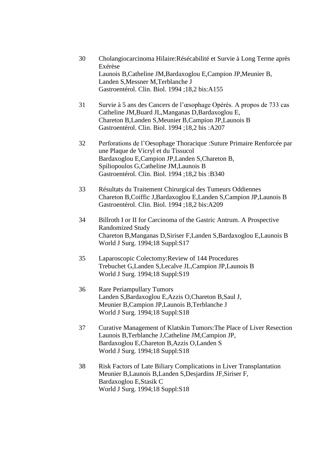- 30 Cholangiocarcinoma Hilaire:Résécabilité et Survie à Long Terme après Exérèse Launois B,Catheline JM,Bardaxoglou E,Campion JP,Meunier B, Landen S,Messner M,Terblanche J Gastroentérol. Clin. Biol. 1994 ;18,2 bis:A155
- 31 Survie à 5 ans des Cancers de l'œsophage Opérés. A propos de 733 cas Catheline JM,Buard JL,Manganas D,Bardaxoglou E, Chareton B,Landen S,Meunier B,Campion JP,Launois B Gastroentérol. Clin. Biol. 1994 ;18,2 bis :A207
- 32 Perforations de l'Oesophage Thoracique :Suture Primaire Renforcée par une Plaque de Vicryl et du Tissucol Bardaxoglou E,Campion JP,Landen S,Chareton B, Spiliopoulos G,Catheline JM,Launois B Gastroentérol. Clin. Biol. 1994 ;18,2 bis :B340
- 33 Résultats du Traitement Chirurgical des Tumeurs Oddiennes Chareton B,Coiffic J,Bardaxoglou E,Landen S,Campion JP,Launois B Gastroentérol. Clin. Biol. 1994 ;18,2 bis:A209
- 34 Billroth I or II for Carcinoma of the Gastric Antrum. A Prospective Randomized Study Chareton B,Manganas D,Siriser F,Landen S,Bardaxoglou E,Launois B World J Surg. 1994;18 Suppl:S17
- 35 Laparoscopic Colectomy:Review of 144 Procedures Trebuchet G,Landen S,Lecalve JL,Campion JP,Launois B World J Surg. 1994;18 Suppl:S19
- 36 Rare Periampullary Tumors Landen S,Bardaxoglou E,Azzis O,Chareton B,Saul J, Meunier B,Campion JP,Launois B,Terblanche J World J Surg. 1994;18 Suppl:S18
- 37 Curative Management of Klatskin Tumors:The Place of Liver Resection Launois B,Terblanche J,Catheline JM,Campion JP, Bardaxoglou E,Chareton B,Azzis O,Landen S World J Surg. 1994;18 Suppl:S18
- 38 Risk Factors of Late Biliary Complications in Liver Transplantation Meunier B,Launois B,Landen S,Desjardins JF,Siriser F, Bardaxoglou E,Stasik C World J Surg. 1994;18 Suppl:S18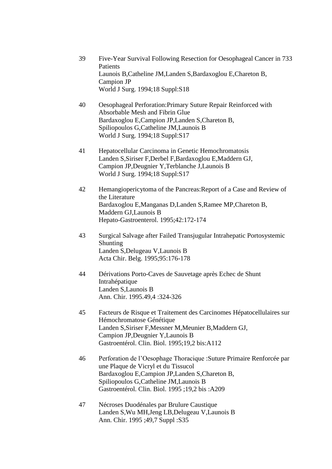- 39 Five-Year Survival Following Resection for Oesophageal Cancer in 733 **Patients** Launois B,Catheline JM,Landen S,Bardaxoglou E,Chareton B, Campion JP World J Surg. 1994;18 Suppl:S18
- 40 Oesophageal Perforation:Primary Suture Repair Reinforced with Absorbable Mesh and Fibrin Glue Bardaxoglou E,Campion JP,Landen S,Chareton B, Spiliopoulos G,Catheline JM,Launois B World J Surg. 1994;18 Suppl:S17
- 41 Hepatocellular Carcinoma in Genetic Hemochromatosis Landen S,Siriser F,Derbel F,Bardaxoglou E,Maddern GJ, Campion JP,Deugnier Y,Terblanche J,Launois B World J Surg. 1994;18 Suppl:S17
- 42 Hemangiopericytoma of the Pancreas:Report of a Case and Review of the Literature Bardaxoglou E,Manganas D,Landen S,Ramee MP,Chareton B, Maddern GJ,Launois B Hepato-Gastroenterol. 1995;42:172-174
- 43 Surgical Salvage after Failed Transjugular Intrahepatic Portosystemic Shunting Landen S,Delugeau V,Launois B Acta Chir. Belg. 1995;95:176-178
- 44 Dérivations Porto-Caves de Sauvetage après Echec de Shunt Intrahépatique Landen S,Launois B Ann. Chir. 1995.49,4 :324-326
- 45 Facteurs de Risque et Traitement des Carcinomes Hépatocellulaires sur Hémochromatose Génétique Landen S,Siriser F,Messner M,Meunier B,Maddern GJ, Campion JP,Deugnier Y,Launois B Gastroentérol. Clin. Biol. 1995;19,2 bis:A112
- 46 Perforation de l'Oesophage Thoracique :Suture Primaire Renforcée par une Plaque de Vicryl et du Tissucol Bardaxoglou E,Campion JP,Landen S,Chareton B, Spiliopoulos G,Catheline JM,Launois B Gastroentérol. Clin. Biol. 1995 ;19,2 bis :A209
- 47 Nécroses Duodénales par Brulure Caustique Landen S,Wu MH,Jeng LB,Delugeau V,Launois B Ann. Chir. 1995 ;49,7 Suppl :S35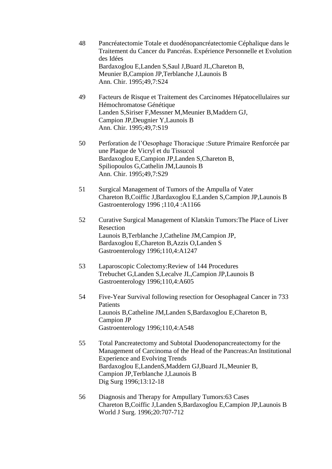- 48 Pancréatectomie Totale et duodénopancréatectomie Céphalique dans le Traitement du Cancer du Pancréas. Expérience Personnelle et Evolution des Idées Bardaxoglou E,Landen S,Saul J,Buard JL,Chareton B, Meunier B,Campion JP,Terblanche J,Launois B Ann. Chir. 1995;49,7:S24
- 49 Facteurs de Risque et Traitement des Carcinomes Hépatocellulaires sur Hémochromatose Génétique Landen S,Siriser F,Messner M,Meunier B,Maddern GJ, Campion JP,Deugnier Y,Launois B Ann. Chir. 1995;49,7:S19
- 50 Perforation de l'Oesophage Thoracique :Suture Primaire Renforcée par une Plaque de Vicryl et du Tissucol Bardaxoglou E,Campion JP,Landen S,Chareton B, Spiliopoulos G,Cathelin JM,Launois B Ann. Chir. 1995;49,7:S29
- 51 Surgical Management of Tumors of the Ampulla of Vater Chareton B,Coiffic J,Bardaxoglou E,Landen S,Campion JP,Launois B Gastroenterology 1996 ;110,4 :A1166
- 52 Curative Surgical Management of Klatskin Tumors:The Place of Liver Resection Launois B,Terblanche J,Catheline JM,Campion JP, Bardaxoglou E,Chareton B,Azzis O,Landen S Gastroenterology 1996;110,4:A1247
- 53 Laparoscopic Colectomy:Review of 144 Procedures Trebuchet G,Landen S,Lecalve JL,Campion JP,Launois B Gastroenterology 1996;110,4:A605
- 54 Five-Year Survival following resection for Oesophageal Cancer in 733 **Patients** Launois B,Catheline JM,Landen S,Bardaxoglou E,Chareton B, Campion JP Gastroenterology 1996;110,4:A548
- 55 Total Pancreatectomy and Subtotal Duodenopancreatectomy for the Management of Carcinoma of the Head of the Pancreas:An Institutional Experience and Evolving Trends Bardaxoglou E,LandenS,Maddern GJ,Buard JL,Meunier B, Campion JP,Terblanche J,Launois B Dig Surg 1996;13:12-18
- 56 Diagnosis and Therapy for Ampullary Tumors:63 Cases Chareton B,Coiffic J,Landen S,Bardaxoglou E,Campion JP,Launois B World J Surg. 1996;20:707-712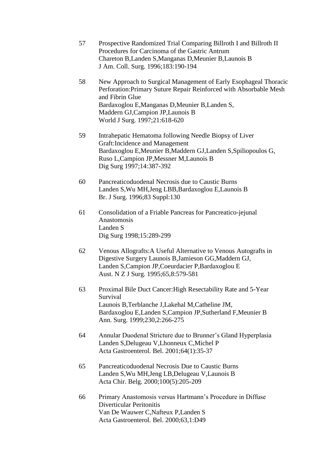- 57 Prospective Randomized Trial Comparing Billroth I and Billroth II Procedures for Carcinoma of the Gastric Antrum Chareton B,Landen S,Manganas D,Meunier B,Launois B J Am. Coll. Surg. 1996;183:190-194
- 58 New Approach to Surgical Management of Early Esophageal Thoracic Perforation:Primary Suture Repair Reinforced with Absorbable Mesh and Fibrin Glue Bardaxoglou E,Manganas D,Meunier B,Landen S, Maddern GJ,Campion JP,Launois B World J Surg. 1997;21:618-620
- 59 Intrahepatic Hematoma following Needle Biopsy of Liver Graft:Incidence and Management Bardaxoglou E,Meunier B,Maddern GJ,Landen S,Spiliopoulos G, Ruso L,Campion JP,Messner M,Launois B Dig Surg 1997;14:387-392
- 60 Pancreaticoduodenal Necrosis due to Caustic Burns Landen S,Wu MH,Jeng LBB,Bardaxoglou E,Launois B Br. J Surg. 1996;83 Suppl:130
- 61 Consolidation of a Friable Pancreas for Pancreatico-jejunal Anastomosis Landen S Dig Surg 1998;15:289-299
- 62 Venous Allografts:A Useful Alternative to Venous Autografts in Digestive Surgery Launois B,Jamieson GG,Maddern GJ, Landen S,Campion JP,Coeurdacier P,Bardaxoglou E Aust. N Z J Surg. 1995;65,8:579-581
- 63 Proximal Bile Duct Cancer:High Resectability Rate and 5-Year Survival Launois B,Terblanche J,Lakehal M,Catheline JM, Bardaxoglou E,Landen S,Campion JP,Sutherland F,Meunier B Ann. Surg. 1999;230,2:266-275
- 64 Annular Duodenal Stricture due to Brunner's Gland Hyperplasia Landen S,Delugeau V,Lhonneux C,Michel P Acta Gastroenterol. Bel. 2001;64(1):35-37
- 65 Pancreaticoduodenal Necrosis Due to Caustic Burns Landen S,Wu MH,Jeng LB,Delugeau V,Launois B Acta Chir. Belg. 2000;100(5):205-209
- 66 Primary Anastomosis versus Hartmann's Procedure in Diffuse Diverticular Peritonitis Van De Wauwer C,Nafteux P,Landen S Acta Gastroenterol. Bel. 2000;63,1:D49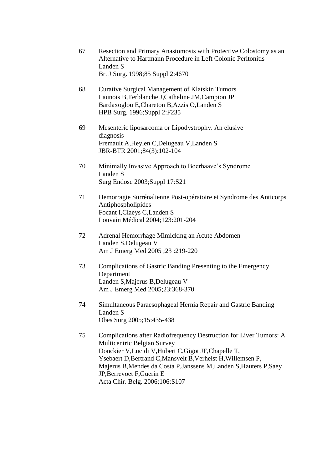| 67 | Resection and Primary Anastomosis with Protective Colostomy as an<br>Alternative to Hartmann Procedure in Left Colonic Peritonitis |
|----|------------------------------------------------------------------------------------------------------------------------------------|
|    | Landen S                                                                                                                           |
|    | Br. J Surg. 1998;85 Suppl 2:4670                                                                                                   |

- 68 Curative Surgical Management of Klatskin Tumors Launois B,Terblanche J,Catheline JM,Campion JP Bardaxoglou E,Chareton B,Azzis O,Landen S HPB Surg. 1996;Suppl 2:F235
- 69 Mesenteric liposarcoma or Lipodystrophy. An elusive diagnosis Fremault A,Heylen C,Delugeau V,Landen S JBR-BTR 2001;84(3):102-104
- 70 Minimally Invasive Approach to Boerhaave's Syndrome Landen S Surg Endosc 2003;Suppl 17:S21
- 71 Hemorragie Surrénalienne Post-opératoire et Syndrome des Anticorps Antiphospholipides Focant I,Claeys C,Landen S Louvain Médical 2004;123:201-204
- 72 Adrenal Hemorrhage Mimicking an Acute Abdomen Landen S,Delugeau V Am J Emerg Med 2005 ;23 :219-220
- 73 Complications of Gastric Banding Presenting to the Emergency Department Landen S,Majerus B,Delugeau V Am J Emerg Med 2005;23:368-370
- 74 Simultaneous Paraesophageal Hernia Repair and Gastric Banding Landen S Obes Surg 2005;15:435-438
- 75 Complications after Radiofrequency Destruction for Liver Tumors: A Multicentric Belgian Survey Donckier V,Lucidi V,Hubert C,Gigot JF,Chapelle T, Ysebaert D,Bertrand C,Mansvelt B,Verhelst H,Willemsen P, Majerus B,Mendes da Costa P,Janssens M,Landen S,Hauters P,Saey JP,Berrevoet F,Guerin E Acta Chir. Belg. 2006;106:S107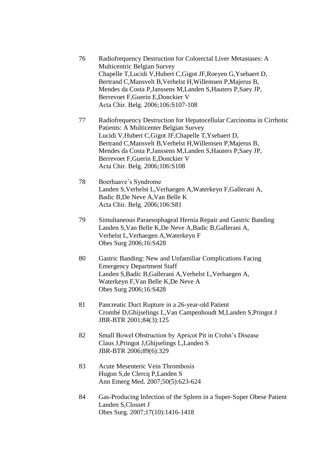- 76 Radiofrequency Destruction for Colorectal Liver Metastases: A Multicentric Belgian Survey Chapelle T,Lucidi V,Hubert C,Gigot JF,Roeyen G,Ysebaert D, Bertrand C,Mansvelt B,Verhelst H,Willemsen P,Majerus B, Mendes da Costa P,Janssens M,Landen S,Hauters P,Saey JP, Berrevoet F,Guerin E,Donckier V Acta Chir. Belg. 2006;106:S107-108
- 77 Radiofrequency Destruction for Hepatocellular Carcinoma in Cirrhotic Patients: A Multicenter Belgian Survey Lucidi V,Hubert C,Gigot JF,Chapelle T,Ysebaert D, Bertrand C,Mansvelt B,Verhelst H,Willemsen P,Majerus B, Mendes da Costa P,Janssens M,Landen S,Hauters P,Saey JP, Berrevoet F,Guerin E,Donckier V Acta Chir. Belg. 2006;106:S108
- 78 Boerhaave's Syndrome Landen S,Verhelst L,Verhaegen A,Waterkeyn F,Gallerani A, Badic B,De Neve A,Van Belle K Acta Chir. Belg. 2006;106:S81
- 79 Simultaneous Paraesophageal Hernia Repair and Gastric Banding Landen S,Van Belle K,De Neve A,Badic B,Gallerani A, Verhelst L,Verhaegen A,Waterkeyn F Obes Surg 2006;16:S428
- 80 Gastric Banding: New and Unfamiliar Complications Facing Emergency Department Staff Landen S,Badic B,Gallerani A,Verhelst L,Verhaegen A, Waterkeyn F,Van Belle K,De Neve A Obes Surg 2006;16:S428
- 81 Pancreatic Duct Rupture in a 26-year-old Patient Crombé D,Ghijselings L,Van Campenhoudt M,Landen S,Pringot J JBR-BTR 2001;84(3):125
- 82 Small Bowel Obstruction by Apricot Pit in Crohn's Disease Claus J,Pringot J,Ghijselings L,Landen S JBR-BTR 2006;89(6):329
- 83 Acute Mesenteric Vein Thrombosis Hugon S,de Clercq P,Landen S Ann Emerg Med. 2007;50(5):623-624
- 84 Gas-Producing Infection of the Spleen in a Super-Super Obese Patient Landen S,Closset J Obes Surg. 2007;17(10):1416-1418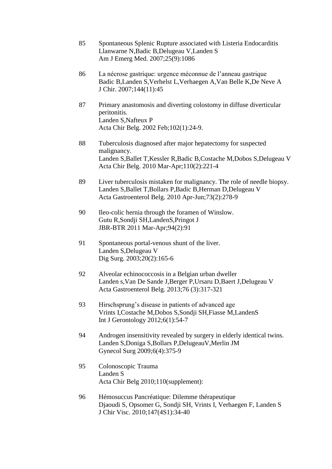- 85 Spontaneous Splenic Rupture associated with Listeria Endocarditis Llanwarne N,Badic B,Delugeau V,Landen S Am J Emerg Med. 2007;25(9):1086
- 86 La nécrose gastrique: urgence méconnue de l'anneau gastrique Badic B,Landen S,Verhelst L,Verhaegen A,Van Belle K,De Neve A J Chir. 2007;144(11):45
- 87 Primary anastomosis and diverting colostomy in diffuse diverticular peritonitis. Landen S,Nafteux P Acta Chir Belg. 2002 Feb;102(1):24-9.
- 88 Tuberculosis diagnosed after major hepatectomy for suspected malignancy. Landen S,Ballet T,Kessler R,Badic B,Costache M,Dobos S,Delugeau V Acta Chir Belg. 2010 Mar-Apr;110(2):221-4
- 89 Liver tuberculosis mistaken for malignancy. The role of needle biopsy. Landen S,Ballet T,Bollars P,Badic B,Herman D,Delugeau V Acta Gastroenterol Belg. 2010 Apr-Jun;73(2):278-9
- 90 Ileo-colic hernia through the foramen of Winslow. Gutu R,Sondji SH,LandenS,Pringot J JBR-BTR 2011 Mar-Apr;94(2):91
- 91 Spontaneous portal-venous shunt of the liver. Landen S,Delugeau V Dig Surg. 2003;20(2):165-6
- 92 Alveolar echinococcosis in a Belgian urban dweller Landen s,Van De Sande J,Berger P,Ursaru D,Baert J,Delugeau V Acta Gastroenterol Belg. 2013;76 (3):317-321
- 93 Hirschsprung's disease in patients of advanced age Vrints I,Costache M,Dobos S,Sondji SH,Fiasse M,LandenS Int J Gerontology 2012;6(1):54-7
- 94 Androgen insensitivity revealed by surgery in elderly identical twins. Landen S,Doniga S,Bollars P,DelugeauV,Merlin JM Gynecol Surg 2009;6(4):375-9
- 95 Colonoscopic Trauma Landen S Acta Chir Belg 2010;110(supplement):
- 96 Hémosuccus Pancréatique: Dilemme thérapeutique Djaoudi S, Opsomer G, Sondji SH, Vrints I, Verhaegen F, Landen S J Chir Visc. 2010;147(4S1):34-40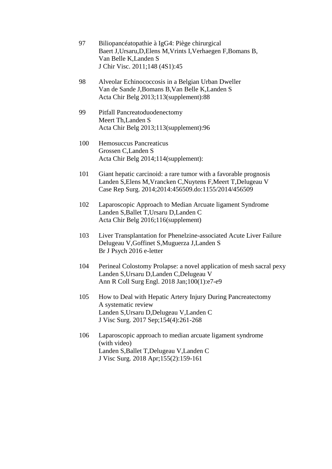- 97 Biliopancéatopathie à IgG4: Piège chirurgical Baert J,Ursaru,D,Elens M,Vrints I,Verhaegen F,Bomans B, Van Belle K,Landen S J Chir Visc. 2011;148 (4S1):45
- 98 Alveolar Echinococcosis in a Belgian Urban Dweller Van de Sande J,Bomans B,Van Belle K,Landen S Acta Chir Belg 2013;113(supplement):88
- 99 Pitfall Pancreatoduodenectomy Meert Th,Landen S Acta Chir Belg 2013;113(supplement):96
- 100 Hemosuccus Pancreaticus Grossen C,Landen S Acta Chir Belg 2014;114(supplement):
- 101 Giant hepatic carcinoid: a rare tumor with a favorable prognosis Landen S,Elens M,Vrancken C,Nuytens F,Meert T,Delugeau V Case Rep Surg. 2014;2014:456509.do:1155/2014/456509
- 102 Laparoscopic Approach to Median Arcuate ligament Syndrome Landen S,Ballet T,Ursaru D,Landen C Acta Chir Belg 2016;116(supplement)
- 103 Liver Transplantation for Phenelzine-associated Acute Liver Failure Delugeau V,Goffinet S,Muguerza J,Landen S Br J Psych 2016 e-letter
- 104 Perineal Colostomy Prolapse: a novel application of mesh sacral pexy Landen S,Ursaru D,Landen C,Delugeau V Ann R Coll Surg Engl. 2018 Jan;100(1):e7-e9
- 105 How to Deal with Hepatic Artery Injury During Pancreatectomy A systematic review Landen S,Ursaru D,Delugeau V,Landen C J Visc Surg. 2017 Sep;154(4):261-268
- 106 Laparoscopic approach to median arcuate ligament syndrome (with video) Landen S,Ballet T,Delugeau V,Landen C J Visc Surg. 2018 Apr;155(2):159-161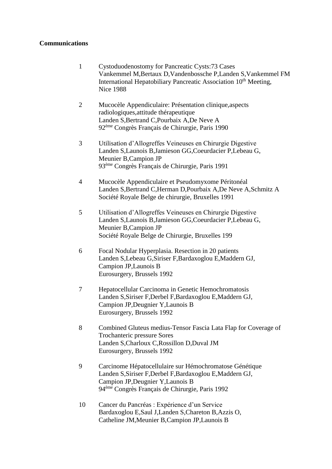## **Communications**

- 1 Cystoduodenostomy for Pancreatic Cysts:73 Cases Vankemmel M,Bertaux D,Vandenbossche P,Landen S,Vankemmel FM International Hepatobiliary Pancreatic Association 10<sup>th</sup> Meeting, Nice 1988
- 2 Mucocèle Appendiculaire: Présentation clinique,aspects radiologiques,attitude thérapeutique Landen S,Bertrand C,Pourbaix A,De Neve A 92ème Congrès Français de Chirurgie, Paris 1990
- 3 Utilisation d'Allogreffes Veineuses en Chirurgie Digestive Landen S,Launois B,Jamieson GG,Coeurdacier P,Lebeau G, Meunier B,Campion JP 93ème Congrès Français de Chirurgie, Paris 1991
- 4 Mucocèle Appendiculaire et Pseudomyxome Péritonéal Landen S,Bertrand C,Herman D,Pourbaix A,De Neve A,Schmitz A Société Royale Belge de chirurgie, Bruxelles 1991
- 5 Utilisation d'Allogreffes Veineuses en Chirurgie Digestive Landen S,Launois B,Jamieson GG,Coeurdacier P,Lebeau G, Meunier B,Campion JP Société Royale Belge de Chirurgie, Bruxelles 199
- 6 Focal Nodular Hyperplasia. Resection in 20 patients Landen S,Lebeau G,Siriser F,Bardaxoglou E,Maddern GJ, Campion JP,Launois B Eurosurgery, Brussels 1992
- 7 Hepatocellular Carcinoma in Genetic Hemochromatosis Landen S,Siriser F,Derbel F,Bardaxoglou E,Maddern GJ, Campion JP,Deugnier Y,Launois B Eurosurgery, Brussels 1992
- 8 Combined Gluteus medius-Tensor Fascia Lata Flap for Coverage of Trochanteric pressure Sores Landen S,Charloux C,Rossillon D,Duval JM Eurosurgery, Brussels 1992
- 9 Carcinome Hépatocellulaire sur Hémochromatose Génétique Landen S,Siriser F,Derbel F,Bardaxoglou E,Maddern GJ, Campion JP,Deugnier Y,Launois B 94ème Congrès Français de Chirurgie, Paris 1992
- 10 Cancer du Pancréas : Expérience d'un Service Bardaxoglou E,Saul J,Landen S,Chareton B,Azzis O, Catheline JM,Meunier B,Campion JP,Launois B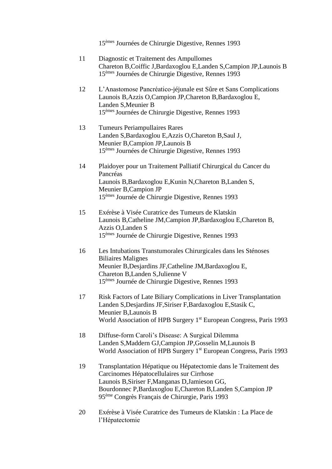15èmes Journées de Chirurgie Digestive, Rennes 1993

- 11 Diagnostic et Traitement des Ampullomes Chareton B,Coiffic J,Bardaxoglou E,Landen S,Campion JP,Launois B 15èmes Journées de Chirurgie Digestive, Rennes 1993
- 12 L'Anastomose Pancréatico-jéjunale est Sûre et Sans Complications Launois B,Azzis O,Campion JP,Chareton B,Bardaxoglou E, Landen S,Meunier B 15èmes Journées de Chirurgie Digestive, Rennes 1993
- 13 Tumeurs Periampullaires Rares Landen S,Bardaxoglou E,Azzis O,Chareton B,Saul J, Meunier B,Campion JP,Launois B 15èmes Journées de Chirurgie Digestive, Rennes 1993
- 14 Plaidoyer pour un Traitement Palliatif Chirurgical du Cancer du Pancréas Launois B,Bardaxoglou E,Kunin N,Chareton B,Landen S, Meunier B,Campion JP 15èmes Journée de Chirurgie Digestive, Rennes 1993
- 15 Exérèse à Visée Curatrice des Tumeurs de Klatskin Launois B,Catheline JM,Campion JP,Bardaxoglou E,Chareton B, Azzis O,Landen S 15èmes Journée de Chirurgie Digestive, Rennes 1993
- 16 Les Intubations Transtumorales Chirurgicales dans les Sténoses Biliaires Malignes Meunier B,Desjardins JF,Catheline JM,Bardaxoglou E, Chareton B,Landen S,Julienne V 15èmes Journée de Chirurgie Digestive, Rennes 1993
- 17 Risk Factors of Late Biliary Complications in Liver Transplantation Landen S,Desjardins JF,Siriser F,Bardaxoglou E,Stasik C, Meunier B,Launois B World Association of HPB Surgery 1<sup>st</sup> European Congress, Paris 1993
- 18 Diffuse-form Caroli's Disease: A Surgical Dilemma Landen S,Maddern GJ,Campion JP,Gosselin M,Launois B World Association of HPB Surgery 1<sup>st</sup> European Congress, Paris 1993
- 19 Transplantation Hépatique ou Hépatectomie dans le Traitement des Carcinomes Hépatocellulaires sur Cirrhose Launois B,Siriser F,Manganas D,Jamieson GG, Bourdonnec P,Bardaxoglou E,Chareton B,Landen S,Campion JP 95ème Congrès Français de Chirurgie, Paris 1993
- 20 Exérèse à Visée Curatrice des Tumeurs de Klatskin : La Place de l'Hépatectomie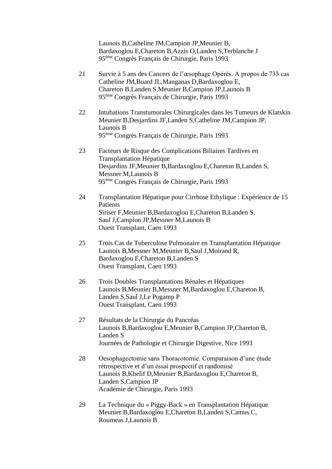Launois B,Catheline JM,Campion JP,Meunier B, Bardaxoglou E,Chareton B,Azzis O,Landen S,Terblanche J 95ème Congrès Français de Chirurgie, Paris 1993

- 21 Survie à 5 ans des Cancers de l'œsophage Opérés. A propos de 733 cas Catheline JM,Buard JL,Manganas D,Bardaxoglou E, Chareton B,Landen S,Meunier B,Campion JP,Launois B 95ème Congrès Français de Chirurgie, Paris 1993
- 22 Intubations Transtumorales Chirurgicales dans les Tumeurs de Klatskin Meunier B,Desjardins JF,Landen S,Catheline JM,Campion JP, Launois B 95ème Congrès Français de Chirurgie, Paris 1993
- 23 Facteurs de Risque des Complications Biliaires Tardives en Transplantation Hépatique Desjardins JF,Meunier B,Bardaxoglou E,Chareton B,Landen S, Messner M,Launois B 95ème Congrès Français de Chirurgie, Paris 1993
- 24 Transplantation Hépatique pour Cirrhose Ethylique : Expérience de 15 **Patients** Siriser F,Meunier B,Bardaxoglou E,Chareton B,Landen S, Saul J,Campion JP,Messner M,Launois B Ouest Transplant, Caen 1993
- 25 Trois Cas de Tuberculose Pulmonaire en Transplantation Hépatique Launois B,Messner M,Meunier B,Saul J,Moirand R, Bardaxoglou E,Chareton B,Landen S Ouest Transplant, Caen 1993
- 26 Trois Doubles Transplantations Rénales et Hépatiques Launois B,Meunier B,Messner M,Bardaxoglou E,Chareton B, Landen S,Saul J,Le Pogamp P Ouest Transplant, Caen 1993
- 27 Résultats de la Chirurgie du Pancréas Launois B,Bardaxoglou E,Meunier B,Campion JP,Chareton B, Landen S Journées de Pathologie et Chirurgie Digestive, Nice 1993
- 28 Oesophagectomie sans Thoracotomie. Comparaison d'une étude rétrospective et d'un éssai prospectif et randomisé Launois B,Khelif D,Meunier B,Bardaxoglou E,Chareton B, Landen S,Campion JP Académie de Chirurgie, Paris 1993
- 29 La Technique du « Piggy-Back » en Transplantation Hépatique Meunier B,Bardaxoglou E,Chareton B,Landen S,Camus C, Roumeas J,Launois B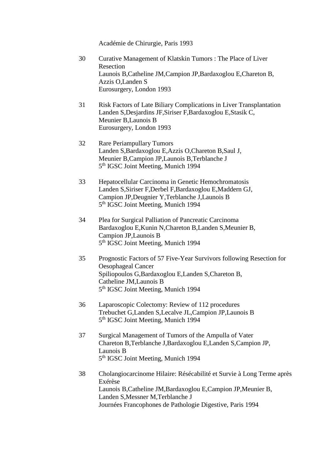Académie de Chirurgie, Paris 1993

- 30 Curative Management of Klatskin Tumors : The Place of Liver Resection Launois B,Catheline JM,Campion JP,Bardaxoglou E,Chareton B, Azzis O,Landen S Eurosurgery, London 1993
- 31 Risk Factors of Late Biliary Complications in Liver Transplantation Landen S,Desjardins JF,Siriser F,Bardaxoglou E,Stasik C, Meunier B,Launois B Eurosurgery, London 1993
- 32 Rare Periampullary Tumors Landen S,Bardaxoglou E,Azzis O,Chareton B,Saul J, Meunier B,Campion JP,Launois B,Terblanche J 5<sup>th</sup> IGSC Joint Meeting, Munich 1994
- 33 Hepatocellular Carcinoma in Genetic Hemochromatosis Landen S,Siriser F,Derbel F,Bardaxoglou E,Maddern GJ, Campion JP,Deugnier Y,Terblanche J,Launois B 5<sup>th</sup> IGSC Joint Meeting, Munich 1994
- 34 Plea for Surgical Palliation of Pancreatic Carcinoma Bardaxoglou E,Kunin N,Chareton B,Landen S,Meunier B, Campion JP,Launois B 5<sup>th</sup> IGSC Joint Meeting, Munich 1994
- 35 Prognostic Factors of 57 Five-Year Survivors following Resection for Oesophageal Cancer Spiliopoulos G,Bardaxoglou E,Landen S,Chareton B, Catheline JM,Launois B 5<sup>th</sup> IGSC Joint Meeting, Munich 1994
- 36 Laparoscopic Colectomy: Review of 112 procedures Trebuchet G,Landen S,Lecalve JL,Campion JP,Launois B 5<sup>th</sup> IGSC Joint Meeting, Munich 1994
- 37 Surgical Management of Tumors of the Ampulla of Vater Chareton B,Terblanche J,Bardaxoglou E,Landen S,Campion JP, Launois B 5<sup>th</sup> IGSC Joint Meeting, Munich 1994
- 38 Cholangiocarcinome Hilaire: Résécabilité et Survie à Long Terme après Exérèse Launois B,Catheline JM,Bardaxoglou E,Campion JP,Meunier B, Landen S,Messner M,Terblanche J Journées Francophones de Pathologie Digestive, Paris 1994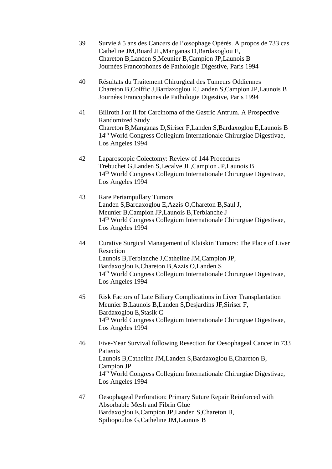- 39 Survie à 5 ans des Cancers de l'œsophage Opérés. A propos de 733 cas Catheline JM,Buard JL,Manganas D,Bardaxoglou E, Chareton B,Landen S,Meunier B,Campion JP,Launois B Journées Francophones de Pathologie Digestive, Paris 1994
- 40 Résultats du Traitement Chirurgical des Tumeurs Oddiennes Chareton B,Coiffic J,Bardaxoglou E,Landen S,Campion JP,Launois B Journées Francophones de Pathologie Digestive, Paris 1994
- 41 Billroth I or II for Carcinoma of the Gastric Antrum. A Prospective Randomized Study Chareton B,Manganas D,Siriser F,Landen S,Bardaxoglou E,Launois B 14th World Congress Collegium Internationale Chirurgiae Digestivae, Los Angeles 1994
- 42 Laparoscopic Colectomy: Review of 144 Procedures Trebuchet G,Landen S,Lecalve JL,Campion JP,Launois B 14th World Congress Collegium Internationale Chirurgiae Digestivae, Los Angeles 1994
- 43 Rare Periampullary Tumors Landen S,Bardaxoglou E,Azzis O,Chareton B,Saul J, Meunier B,Campion JP,Launois B,Terblanche J 14th World Congress Collegium Internationale Chirurgiae Digestivae, Los Angeles 1994
- 44 Curative Surgical Management of Klatskin Tumors: The Place of Liver Resection Launois B,Terblanche J,Catheline JM,Campion JP, Bardaxoglou E,Chareton B,Azzis O,Landen S 14th World Congress Collegium Internationale Chirurgiae Digestivae, Los Angeles 1994
- 45 Risk Factors of Late Biliary Complications in Liver Transplantation Meunier B,Launois B,Landen S,Desjardins JF,Siriser F, Bardaxoglou E,Stasik C 14th World Congress Collegium Internationale Chirurgiae Digestivae, Los Angeles 1994
- 46 Five-Year Survival following Resection for Oesophageal Cancer in 733 **Patients** Launois B,Catheline JM,Landen S,Bardaxoglou E,Chareton B, Campion JP 14th World Congress Collegium Internationale Chirurgiae Digestivae, Los Angeles 1994
- 47 Oesophageal Perforation: Primary Suture Repair Reinforced with Absorbable Mesh and Fibrin Glue Bardaxoglou E,Campion JP,Landen S,Chareton B, Spiliopoulos G,Catheline JM,Launois B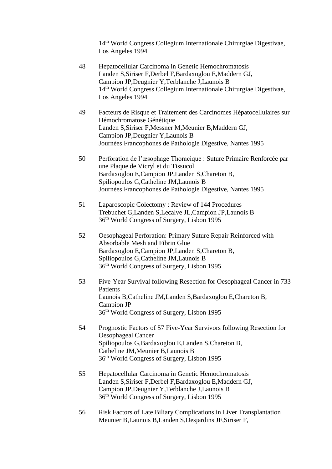14th World Congress Collegium Internationale Chirurgiae Digestivae, Los Angeles 1994

- 48 Hepatocellular Carcinoma in Genetic Hemochromatosis Landen S,Siriser F,Derbel F,Bardaxoglou E,Maddern GJ, Campion JP,Deugnier Y,Terblanche J,Launois B 14th World Congress Collegium Internationale Chirurgiae Digestivae, Los Angeles 1994
- 49 Facteurs de Risque et Traitement des Carcinomes Hépatocellulaires sur Hémochromatose Génétique Landen S,Siriser F,Messner M,Meunier B,Maddern GJ, Campion JP,Deugnier Y,Launois B Journées Francophones de Pathologie Digestive, Nantes 1995
- 50 Perforation de l'œsophage Thoracique : Suture Primaire Renforcée par une Plaque de Vicryl et du Tissucol Bardaxoglou E,Campion JP,Landen S,Chareton B, Spiliopoulos G,Catheline JM,Launois B Journées Francophones de Pathologie Digestive, Nantes 1995
- 51 Laparoscopic Colectomy : Review of 144 Procedures Trebuchet G,Landen S,Lecalve JL,Campion JP,Launois B 36th World Congress of Surgery, Lisbon 1995
- 52 Oesophageal Perforation: Primary Suture Repair Reinforced with Absorbable Mesh and Fibrin Glue Bardaxoglou E,Campion JP,Landen S,Chareton B, Spiliopoulos G,Catheline JM,Launois B 36th World Congress of Surgery, Lisbon 1995
- 53 Five-Year Survival following Resection for Oesophageal Cancer in 733 Patients Launois B,Catheline JM,Landen S,Bardaxoglou E,Chareton B, Campion JP 36th World Congress of Surgery, Lisbon 1995
- 54 Prognostic Factors of 57 Five-Year Survivors following Resection for Oesophageal Cancer Spiliopoulos G,Bardaxoglou E,Landen S,Chareton B, Catheline JM,Meunier B,Launois B 36th World Congress of Surgery, Lisbon 1995
- 55 Hepatocellular Carcinoma in Genetic Hemochromatosis Landen S,Siriser F,Derbel F,Bardaxoglou E,Maddern GJ, Campion JP,Deugnier Y,Terblanche J,Launois B 36th World Congress of Surgery, Lisbon 1995
- 56 Risk Factors of Late Biliary Complications in Liver Transplantation Meunier B,Launois B,Landen S,Desjardins JF,Siriser F,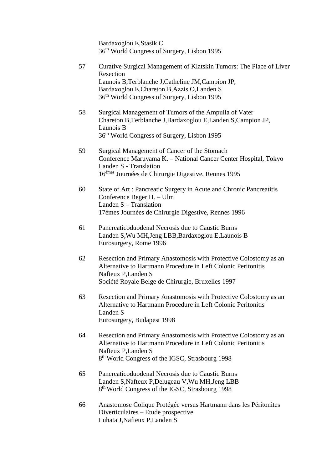Bardaxoglou E,Stasik C 36th World Congress of Surgery, Lisbon 1995

- 57 Curative Surgical Management of Klatskin Tumors: The Place of Liver Resection Launois B,Terblanche J,Catheline JM,Campion JP, Bardaxoglou E,Chareton B,Azzis O,Landen S 36th World Congress of Surgery, Lisbon 1995 58 Surgical Management of Tumors of the Ampulla of Vater Chareton B,Terblanche J,Bardaxoglou E,Landen S,Campion JP, Launois B 36th World Congress of Surgery, Lisbon 1995 59 Surgical Management of Cancer of the Stomach Conference Maruyama K. – National Cancer Center Hospital, Tokyo Landen S - Translation 16èmes Journées de Chirurgie Digestive, Rennes 1995 60 State of Art : Pancreatic Surgery in Acute and Chronic Pancreatitis Conference Beger H. – Ulm Landen S – Translation 17èmes Journées de Chirurgie Digestive, Rennes 1996 61 Pancreaticoduodenal Necrosis due to Caustic Burns Landen S,Wu MH,Jeng LBB,Bardaxoglou E,Launois B Eurosurgery, Rome 1996 62 Resection and Primary Anastomosis with Protective Colostomy as an Alternative to Hartmann Procedure in Left Colonic Peritonitis Nafteux P,Landen S Société Royale Belge de Chirurgie, Bruxelles 1997 63 Resection and Primary Anastomosis with Protective Colostomy as an Alternative to Hartmann Procedure in Left Colonic Peritonitis Landen S Eurosurgery, Budapest 1998 64 Resection and Primary Anastomosis with Protective Colostomy as an Alternative to Hartmann Procedure in Left Colonic Peritonitis Nafteux P,Landen S 8<sup>th</sup> World Congress of the IGSC, Strasbourg 1998 65 Pancreaticoduodenal Necrosis due to Caustic Burns Landen S,Nafteux P,Delugeau V,Wu MH,Jeng LBB
- 66 Anastomose Colique Protégée versus Hartmann dans les Péritonites Diverticulaires – Etude prospective Luhata J,Nafteux P,Landen S

8<sup>th</sup> World Congress of the IGSC, Strasbourg 1998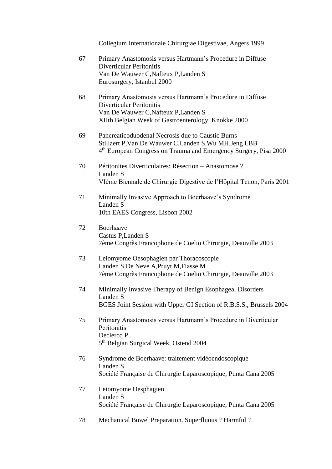Collegium Internationale Chirurgiae Digestivae, Angers 1999

- 67 Primary Anastomosis versus Hartmann's Procedure in Diffuse Diverticular Peritonitis Van De Wauwer C,Nafteux P,Landen S Eurosurgery, Istanbul 2000
- 68 Primary Anastomosis versus Hartmann's Procedure in Diffuse Diverticular Peritonitis Van De Wauwer C,Nafteux P,Landen S XIIth Belgian Week of Gastroenterology, Knokke 2000
- 69 Pancreaticoduodenal Necrosis due to Caustic Burns Stillaert P,Van De Wauwer C,Landen S,Wu MH,Jeng LBB 4<sup>th</sup> European Congress on Trauma and Emergency Surgery, Pisa 2000
- 70 Péritonites Diverticulaires: Résection Anastomose ? Landen S VIème Biennale de Chirurgie Digestive de l'Hôpital Tenon, Paris 2001
- 71 Minimally Invasive Approach to Boerhaave's Syndrome Landen S 10th EAES Congress, Lisbon 2002
- 72 Boerhaave Castus P,Landen S 7ème Congrès Francophone de Coelio Chirurgie, Deauville 2003
- 73 Leiomyome Oesophagien par Thoracoscopie Landen S,De Neve A,Pruyt M,Fiasse M 7ème Congrès Francophone de Coelio Chirurgie, Deauville 2003
- 74 Minimally Invasive Therapy of Benign Esophageal Disorders Landen S BGES Joint Session with Upper GI Section of R.B.S.S., Brussels 2004
- 75 Primary Anastomosis versus Hartmann's Procedure in Diverticular **Peritonitis** Declercq P 5<sup>th</sup> Belgian Surgical Week, Ostend 2004
- 76 Syndrome de Boerhaave: traitement vidéoendoscopique Landen S Société Française de Chirurgie Laparoscopique, Punta Cana 2005
- 77 Leiomyome Oesphagien Landen S Société Française de Chirurgie Laparoscopique, Punta Cana 2005
- 78 Mechanical Bowel Preparation. Superfluous ? Harmful ?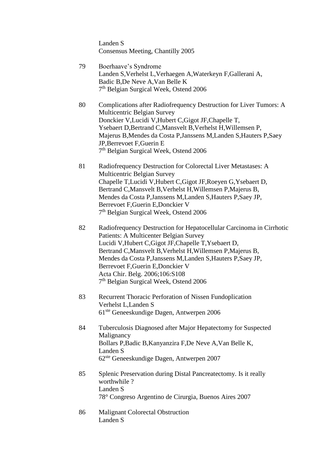Landen S Consensus Meeting, Chantilly 2005

- 79 Boerhaave's Syndrome Landen S,Verhelst L,Verhaegen A,Waterkeyn F,Gallerani A, Badic B,De Neve A,Van Belle K 7<sup>th</sup> Belgian Surgical Week, Ostend 2006
- 80 Complications after Radiofrequency Destruction for Liver Tumors: A Multicentric Belgian Survey Donckier V,Lucidi V,Hubert C,Gigot JF,Chapelle T, Ysebaert D,Bertrand C,Mansvelt B,Verhelst H,Willemsen P, Majerus B,Mendes da Costa P,Janssens M,Landen S,Hauters P,Saey JP,Berrevoet F,Guerin E 7<sup>th</sup> Belgian Surgical Week, Ostend 2006
- 81 Radiofrequency Destruction for Colorectal Liver Metastases: A Multicentric Belgian Survey Chapelle T,Lucidi V,Hubert C,Gigot JF,Roeyen G,Ysebaert D, Bertrand C,Mansvelt B,Verhelst H,Willemsen P,Majerus B, Mendes da Costa P,Janssens M,Landen S,Hauters P,Saey JP, Berrevoet F,Guerin E,Donckier V 7<sup>th</sup> Belgian Surgical Week, Ostend 2006
- 82 Radiofrequency Destruction for Hepatocellular Carcinoma in Cirrhotic Patients: A Multicenter Belgian Survey Lucidi V,Hubert C,Gigot JF,Chapelle T,Ysebaert D, Bertrand C,Mansvelt B,Verhelst H,Willemsen P,Majerus B, Mendes da Costa P,Janssens M,Landen S,Hauters P,Saey JP, Berrevoet F,Guerin E,Donckier V Acta Chir. Belg. 2006;106:S108 7<sup>th</sup> Belgian Surgical Week, Ostend 2006
- 83 Recurrent Thoracic Perforation of Nissen Fundoplication Verhelst L,Landen S 61ste Geneeskundige Dagen, Antwerpen 2006
- 84 Tuberculosis Diagnosed after Major Hepatectomy for Suspected Malignancy Bollars P,Badic B,Kanyanzira F,De Neve A,Van Belle K, Landen S 62ste Geneeskundige Dagen, Antwerpen 2007
- 85 Splenic Preservation during Distal Pancreatectomy. Is it really worthwhile ? Landen S 78° Congreso Argentino de Cirurgia, Buenos Aires 2007
- 86 Malignant Colorectal Obstruction Landen S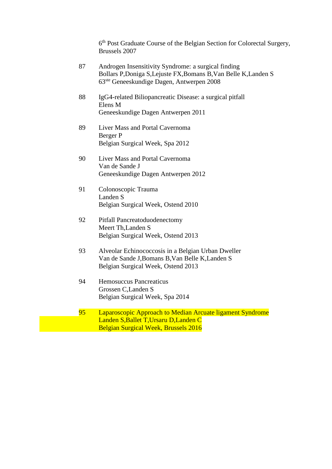6 th Post Graduate Course of the Belgian Section for Colorectal Surgery, Brussels 2007

- 87 Androgen Insensitivity Syndrome: a surgical finding Bollars P,Doniga S,Lejuste FX,Bomans B,Van Belle K,Landen S 63ste Geneeskundige Dagen, Antwerpen 2008
- 88 IgG4-related Biliopancreatic Disease: a surgical pitfall Elens M Geneeskundige Dagen Antwerpen 2011
- 89 Liver Mass and Portal Cavernoma Berger P Belgian Surgical Week, Spa 2012
- 90 Liver Mass and Portal Cavernoma Van de Sande J Geneeskundige Dagen Antwerpen 2012
- 91 Colonoscopic Trauma Landen S Belgian Surgical Week, Ostend 2010
- 92 Pitfall Pancreatoduodenectomy Meert Th,Landen S Belgian Surgical Week, Ostend 2013
- 93 Alveolar Echinococcosis in a Belgian Urban Dweller Van de Sande J,Bomans B,Van Belle K,Landen S Belgian Surgical Week, Ostend 2013
- 94 Hemosuccus Pancreaticus Grossen C,Landen S Belgian Surgical Week, Spa 2014
- 95 Laparoscopic Approach to Median Arcuate ligament Syndrome Landen S,Ballet T,Ursaru D,Landen C Belgian Surgical Week, Brussels 2016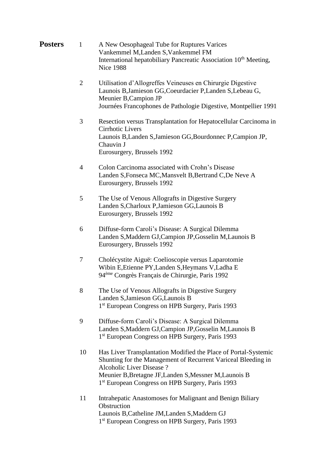| <b>Posters</b> | A New Oesophageal Tube for Ruptures Varices                                  |
|----------------|------------------------------------------------------------------------------|
|                | Vankemmel M, Landen S, Vankemmel FM                                          |
|                | International hepatobiliary Pancreatic Association 10 <sup>th</sup> Meeting, |
|                | Nice 1988                                                                    |

- 2 Utilisation d'Allogreffes Veineuses en Chirurgie Digestive Launois B,Jamieson GG,Coeurdacier P,Landen S,Lebeau G, Meunier B,Campion JP Journées Francophones de Pathologie Digestive, Montpellier 1991
- 3 Resection versus Transplantation for Hepatocellular Carcinoma in Cirrhotic Livers Launois B,Landen S,Jamieson GG,Bourdonnec P,Campion JP, Chauvin J Eurosurgery, Brussels 1992
- 4 Colon Carcinoma associated with Crohn's Disease Landen S,Fonseca MC,Mansvelt B,Bertrand C,De Neve A Eurosurgery, Brussels 1992
- 5 The Use of Venous Allografts in Digestive Surgery Landen S,Charloux P,Jamieson GG,Launois B Eurosurgery, Brussels 1992
- 6 Diffuse-form Caroli's Disease: A Surgical Dilemma Landen S,Maddern GJ,Campion JP,Gosselin M,Launois B Eurosurgery, Brussels 1992
- 7 Cholécystite Aiguë: Coelioscopie versus Laparotomie Wibin E,Etienne PY,Landen S,Heymans V,Ladha E 94ème Congrès Français de Chirurgie, Paris 1992
- 8 The Use of Venous Allografts in Digestive Surgery Landen S,Jamieson GG,Launois B 1<sup>st</sup> European Congress on HPB Surgery, Paris 1993
- 9 Diffuse-form Caroli's Disease: A Surgical Dilemma Landen S,Maddern GJ,Campion JP,Gosselin M,Launois B 1 st European Congress on HPB Surgery, Paris 1993
- 10 Has Liver Transplantation Modified the Place of Portal-Systemic Shunting for the Management of Recurrent Variceal Bleeding in Alcoholic Liver Disease ? Meunier B,Bretagne JF,Landen S,Messner M,Launois B 1 st European Congress on HPB Surgery, Paris 1993
- 11 Intrahepatic Anastomoses for Malignant and Benign Biliary **Obstruction** Launois B,Catheline JM,Landen S,Maddern GJ 1 st European Congress on HPB Surgery, Paris 1993